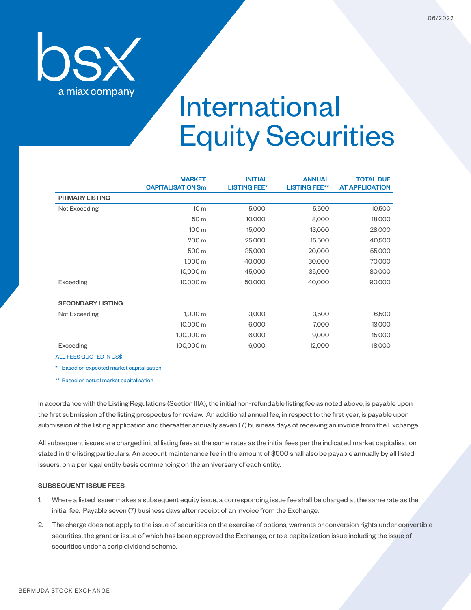

## International Equity Securities

|                          | <b>MARKET</b><br><b>CAPITALISATION \$m</b> | <b>INITIAL</b><br><b>LISTING FEE*</b> | <b>ANNUAL</b><br><b>LISTING FEE**</b> | <b>TOTAL DUE</b><br><b>AT APPLICATION</b> |
|--------------------------|--------------------------------------------|---------------------------------------|---------------------------------------|-------------------------------------------|
| <b>PRIMARY LISTING</b>   |                                            |                                       |                                       |                                           |
| Not Exceeding            | 10 <sub>m</sub>                            | 5,000                                 | 5,500                                 | 10,500                                    |
|                          | 50 m                                       | 10,000                                | 8,000                                 | 18,000                                    |
|                          | 100 m                                      | 15,000                                | 13,000                                | 28,000                                    |
|                          | 200 m                                      | 25,000                                | 15,500                                | 40,500                                    |
|                          | 500 m                                      | 35,000                                | 20,000                                | 55,000                                    |
|                          | 1,000 m                                    | 40,000                                | 30,000                                | 70,000                                    |
|                          | 10,000 m                                   | 45,000                                | 35,000                                | 80,000                                    |
| Exceeding                | 10,000 m                                   | 50,000                                | 40,000                                | 90,000                                    |
| <b>SECONDARY LISTING</b> |                                            |                                       |                                       |                                           |
| Not Exceeding            | 1,000 m                                    | 3,000                                 | 3,500                                 | 6,500                                     |
|                          | 10,000 m                                   | 6,000                                 | 7,000                                 | 13,000                                    |
|                          | 100,000 m                                  | 6,000                                 | 9,000                                 | 15,000                                    |
| Exceeding                | 100,000 m                                  | 6,000                                 | 12,000                                | 18,000                                    |

ALL FEES QUOTED IN US\$

\* Based on expected market capitalisation

\*\* Based on actual market capitalisation

In accordance with the Listing Regulations (Section IIIA), the initial non-refundable listing fee as noted above, is payable upon the first submission of the listing prospectus for review. An additional annual fee, in respect to the first year, is payable upon submission of the listing application and thereafter annually seven (7) business days of receiving an invoice from the Exchange.

All subsequent issues are charged initial listing fees at the same rates as the initial fees per the indicated market capitalisation stated in the listing particulars. An account maintenance fee in the amount of \$500 shall also be payable annually by all listed issuers, on a per legal entity basis commencing on the anniversary of each entity.

## SUBSEQUENT ISSUE FEES

- 1. Where a listed issuer makes a subsequent equity issue, a corresponding issue fee shall be charged at the same rate as the initial fee. Payable seven (7) business days after receipt of an invoice from the Exchange.
- 2. The charge does not apply to the issue of securities on the exercise of options, warrants or conversion rights under convertible securities, the grant or issue of which has been approved the Exchange, or to a capitalization issue including the issue of securities under a scrip dividend scheme.